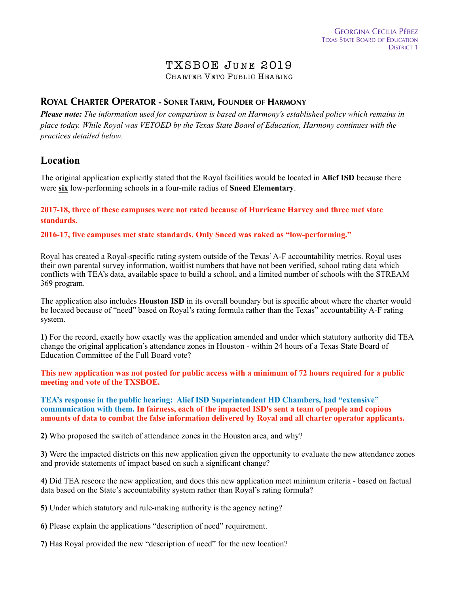### **ROYAL CHARTER OPERATOR - SONER TARIM, FOUNDER OF HARMONY**

*Please note: The information used for comparison is based on Harmony's established policy which remains in place today. While Royal was VETOED by the Texas State Board of Education, Harmony continues with the practices detailed below.* 

# **Location**

The original application explicitly stated that the Royal facilities would be located in **Alief ISD** because there were **six** low-performing schools in a four-mile radius of **Sneed Elementary**.

**2017-18, three of these campuses were not rated because of Hurricane Harvey and three met state standards.** 

**2016-17, five campuses met state standards. Only Sneed was raked as "low-performing."** 

Royal has created a Royal-specific rating system outside of the Texas' A-F accountability metrics. Royal uses their own parental survey information, waitlist numbers that have not been verified, school rating data which conflicts with TEA's data, available space to build a school, and a limited number of schools with the STREAM 369 program.

The application also includes **Houston ISD** in its overall boundary but is specific about where the charter would be located because of "need" based on Royal's rating formula rather than the Texas" accountability A-F rating system.

**1)** For the record, exactly how exactly was the application amended and under which statutory authority did TEA change the original application's attendance zones in Houston - within 24 hours of a Texas State Board of Education Committee of the Full Board vote?

**This new application was not posted for public access with a minimum of 72 hours required for a public meeting and vote of the TXSBOE.** 

**TEA's response in the public hearing: Alief ISD Superintendent HD Chambers, had "extensive" communication with them. In fairness, each of the impacted ISD's sent a team of people and copious amounts of data to combat the false information delivered by Royal and all charter operator applicants.** 

**2)** Who proposed the switch of attendance zones in the Houston area, and why?

**3)** Were the impacted districts on this new application given the opportunity to evaluate the new attendance zones and provide statements of impact based on such a significant change?

**4)** Did TEA rescore the new application, and does this new application meet minimum criteria - based on factual data based on the State's accountability system rather than Royal's rating formula?

**5)** Under which statutory and rule-making authority is the agency acting?

**6)** Please explain the applications "description of need" requirement.

**7)** Has Royal provided the new "description of need" for the new location?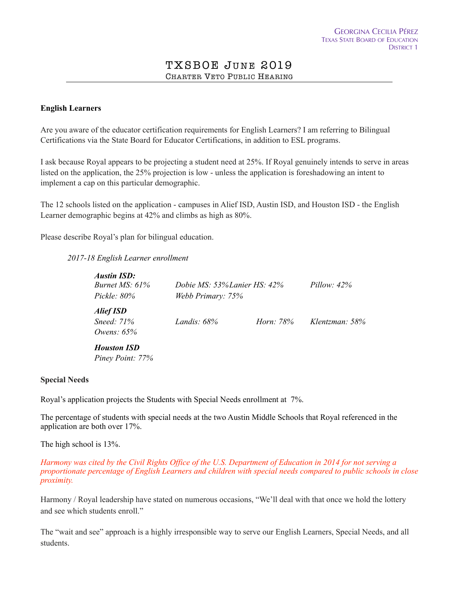### **English Learners**

Are you aware of the educator certification requirements for English Learners? I am referring to Bilingual Certifications via the State Board for Educator Certifications, in addition to ESL programs.

I ask because Royal appears to be projecting a student need at 25%. If Royal genuinely intends to serve in areas listed on the application, the 25% projection is low - unless the application is foreshadowing an intent to implement a cap on this particular demographic.

The 12 schools listed on the application - campuses in Alief ISD, Austin ISD, and Houston ISD - the English Learner demographic begins at 42% and climbs as high as 80%.

Please describe Royal's plan for bilingual education.

### *2017-18 English Learner enrollment*

| <b>Austin ISD:</b><br>Burnet MS: $61\%$<br>Pickle: $80\%$ | Dobie MS: 53% Lanier HS: 42%<br>Webb Primary: 75% |           | Pillow: $42\%$ |
|-----------------------------------------------------------|---------------------------------------------------|-----------|----------------|
| Alief ISD<br>Sneed: $71%$<br>Owens: $65%$                 | Landis: $68\%$                                    | Horn: 78% | Klentzman: 58% |
| <b>Houston ISD</b><br>Piney Point: 77%                    |                                                   |           |                |

#### **Special Needs**

Royal's application projects the Students with Special Needs enrollment at 7%.

The percentage of students with special needs at the two Austin Middle Schools that Royal referenced in the application are both over 17%.

The high school is 13%.

*Harmony was cited by the Civil Rights Office of the U.S. Department of Education in 2014 for not serving a proportionate percentage of English Learners and children with special needs compared to public schools in close proximity.* 

Harmony / Royal leadership have stated on numerous occasions, "We'll deal with that once we hold the lottery and see which students enroll."

The "wait and see" approach is a highly irresponsible way to serve our English Learners, Special Needs, and all students.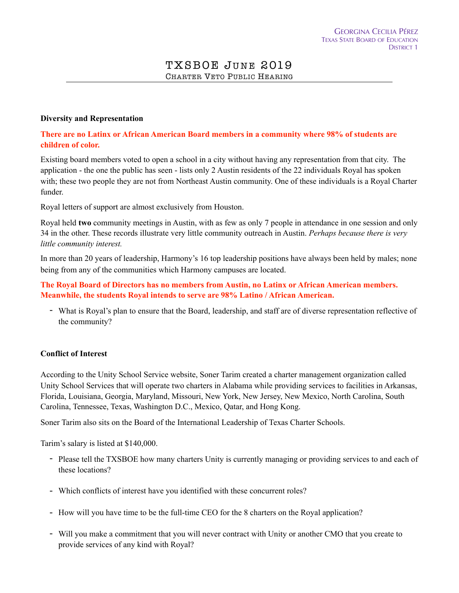#### **Diversity and Representation**

### **There are no Latinx or African American Board members in a community where 98% of students are children of color.**

Existing board members voted to open a school in a city without having any representation from that city. The application - the one the public has seen - lists only 2 Austin residents of the 22 individuals Royal has spoken with; these two people they are not from Northeast Austin community. One of these individuals is a Royal Charter funder.

Royal letters of support are almost exclusively from Houston.

Royal held **two** community meetings in Austin, with as few as only 7 people in attendance in one session and only 34 in the other. These records illustrate very little community outreach in Austin. *Perhaps because there is very little community interest.* 

In more than 20 years of leadership, Harmony's 16 top leadership positions have always been held by males; none being from any of the communities which Harmony campuses are located.

**The Royal Board of Directors has no members from Austin, no Latinx or African American members. Meanwhile, the students Royal intends to serve are 98% Latino / African American.** 

- What is Royal's plan to ensure that the Board, leadership, and staff are of diverse representation reflective of the community?

### **Conflict of Interest**

According to the Unity School Service website, Soner Tarim created a charter management organization called Unity School Services that will operate two charters in Alabama while providing services to facilities in Arkansas, Florida, Louisiana, Georgia, Maryland, Missouri, New York, New Jersey, New Mexico, North Carolina, South Carolina, Tennessee, Texas, Washington D.C., Mexico, Qatar, and Hong Kong.

Soner Tarim also sits on the Board of the International Leadership of Texas Charter Schools.

Tarim's salary is listed at \$140,000.

- Please tell the TXSBOE how many charters Unity is currently managing or providing services to and each of these locations?
- Which conflicts of interest have you identified with these concurrent roles?
- How will you have time to be the full-time CEO for the 8 charters on the Royal application?
- Will you make a commitment that you will never contract with Unity or another CMO that you create to provide services of any kind with Royal?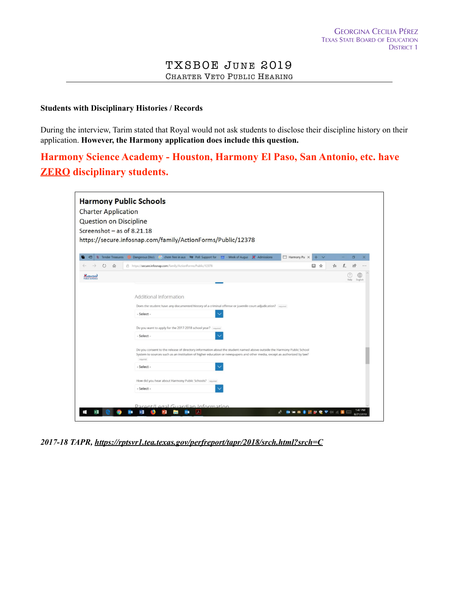### **Students with Disciplinary Histories / Records**

During the interview, Tarim stated that Royal would not ask students to disclose their discipline history on their application. **However, the Harmony application does include this question.** 

**Harmony Science Academy - Houston, Harmony El Paso, San Antonio, etc. have ZERO disciplinary students.**



*2017-18 TAPR,<https://rptsvr1.tea.texas.gov/perfreport/tapr/2018/srch.html?srch=C>*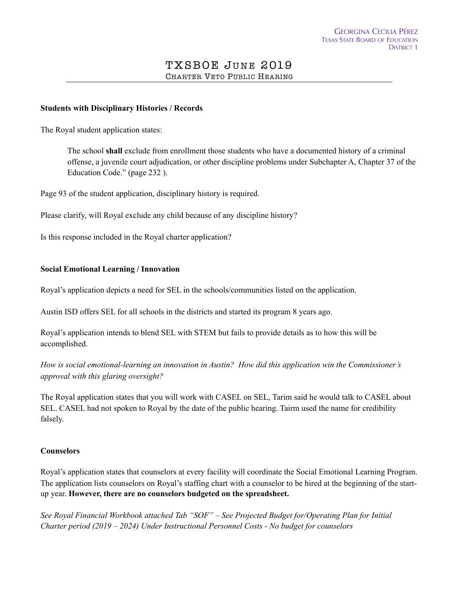### **Students with Disciplinary Histories / Records**

The Royal student application states:

 The school **shall** exclude from enrollment those students who have a documented history of a criminal offense, a juvenile court adjudication, or other discipline problems under Subchapter A, Chapter 37 of the Education Code." (page 232 ).

Page 93 of the student application, disciplinary history is required.

Please clarify, will Royal exclude any child because of any discipline history?

Is this response included in the Royal charter application?

#### **Social Emotional Learning / Innovation**

Royal's application depicts a need for SEL in the schools/communities listed on the application.

Austin ISD offers SEL for all schools in the districts and started its program 8 years ago.

Royal's application intends to blend SEL with STEM but fails to provide details as to how this will be accomplished.

*How is social emotional-learning an innovation in Austin? How did this application win the Commissioner's approval with this glaring oversight?* 

The Royal application states that you will work with CASEL on SEL, Tarim said he would talk to CASEL about SEL. CASEL had not spoken to Royal by the date of the public hearing. Tairm used the name for credibility falsely.

#### **Counselors**

Royal's application states that counselors at every facility will coordinate the Social Emotional Learning Program. The application lists counselors on Royal's staffing chart with a counselor to be hired at the beginning of the startup year. **However, there are no counselors budgeted on the spreadsheet.** 

*See Royal Financial Workbook attached Tab "SOF" – See Projected Budget for/Operating Plan for Initial Charter period (2019 – 2024) Under Instructional Personnel Costs - No budget for counselors*